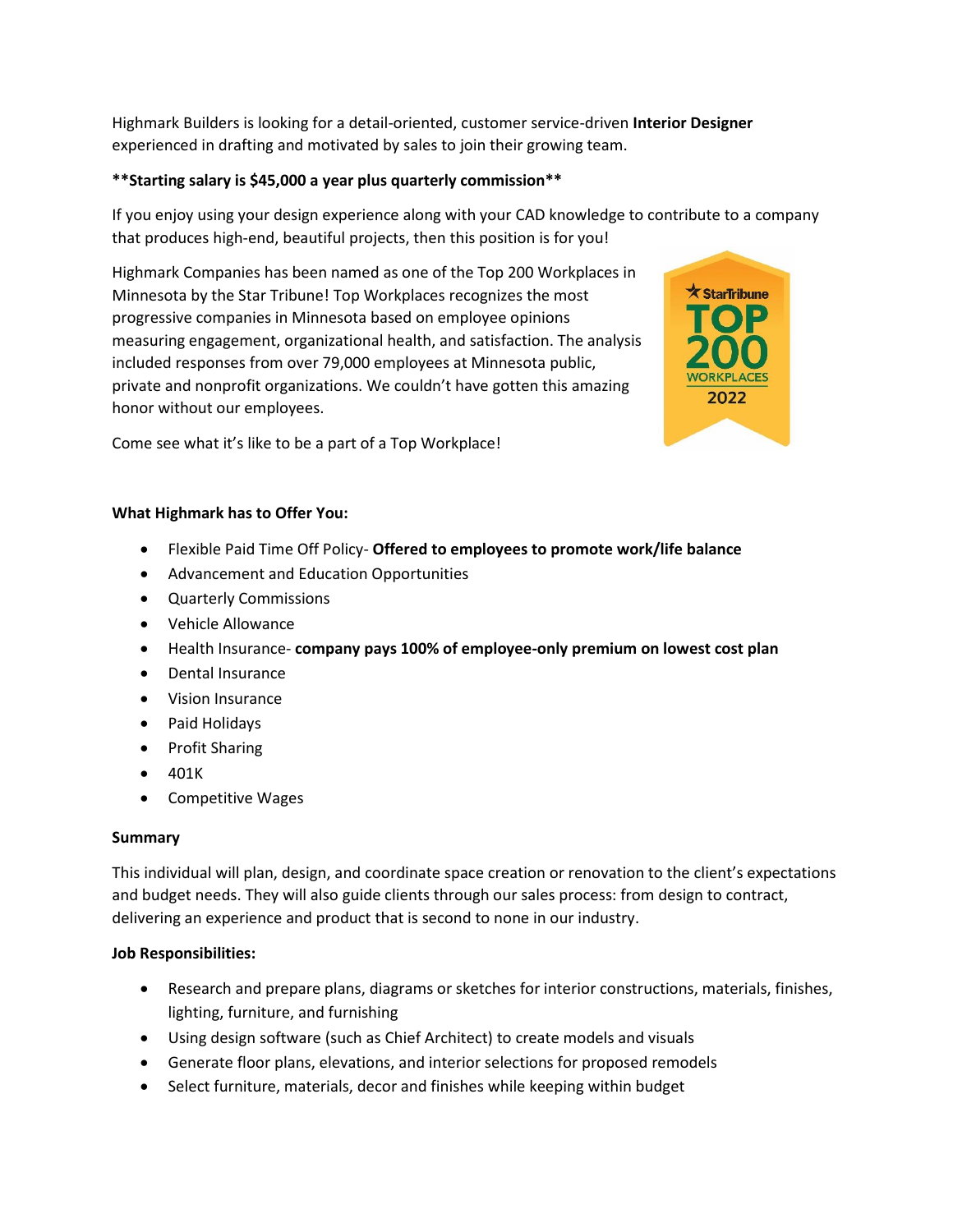Highmark Builders is looking for a detail-oriented, customer service-driven **Interior Designer** experienced in drafting and motivated by sales to join their growing team.

### **\*\*Starting salary is \$45,000 a year plus quarterly commission\*\***

If you enjoy using your design experience along with your CAD knowledge to contribute to a company that produces high-end, beautiful projects, then this position is for you!

Highmark Companies has been named as one of the Top 200 Workplaces in Minnesota by the Star Tribune! Top Workplaces recognizes the most progressive companies in Minnesota based on employee opinions measuring engagement, organizational health, and satisfaction. The analysis included responses from over 79,000 employees at Minnesota public, private and nonprofit organizations. We couldn't have gotten this amazing honor without our employees.



Come see what it's like to be a part of a Top Workplace!

#### **What Highmark has to Offer You:**

- Flexible Paid Time Off Policy- **Offered to employees to promote work/life balance**
- Advancement and Education Opportunities
- Quarterly Commissions
- Vehicle Allowance
- Health Insurance- **company pays 100% of employee-only premium on lowest cost plan**
- Dental Insurance
- Vision Insurance
- Paid Holidays
- Profit Sharing
- 401K
- Competitive Wages

# **Summary**

This individual will plan, design, and coordinate space creation or renovation to the client's expectations and budget needs. They will also guide clients through our sales process: from design to contract, delivering an experience and product that is second to none in our industry.

# **Job Responsibilities:**

- Research and prepare plans, diagrams or sketches for interior constructions, materials, finishes, lighting, furniture, and furnishing
- Using design software (such as Chief Architect) to create models and visuals
- Generate floor plans, elevations, and interior selections for proposed remodels
- Select furniture, materials, decor and finishes while keeping within budget